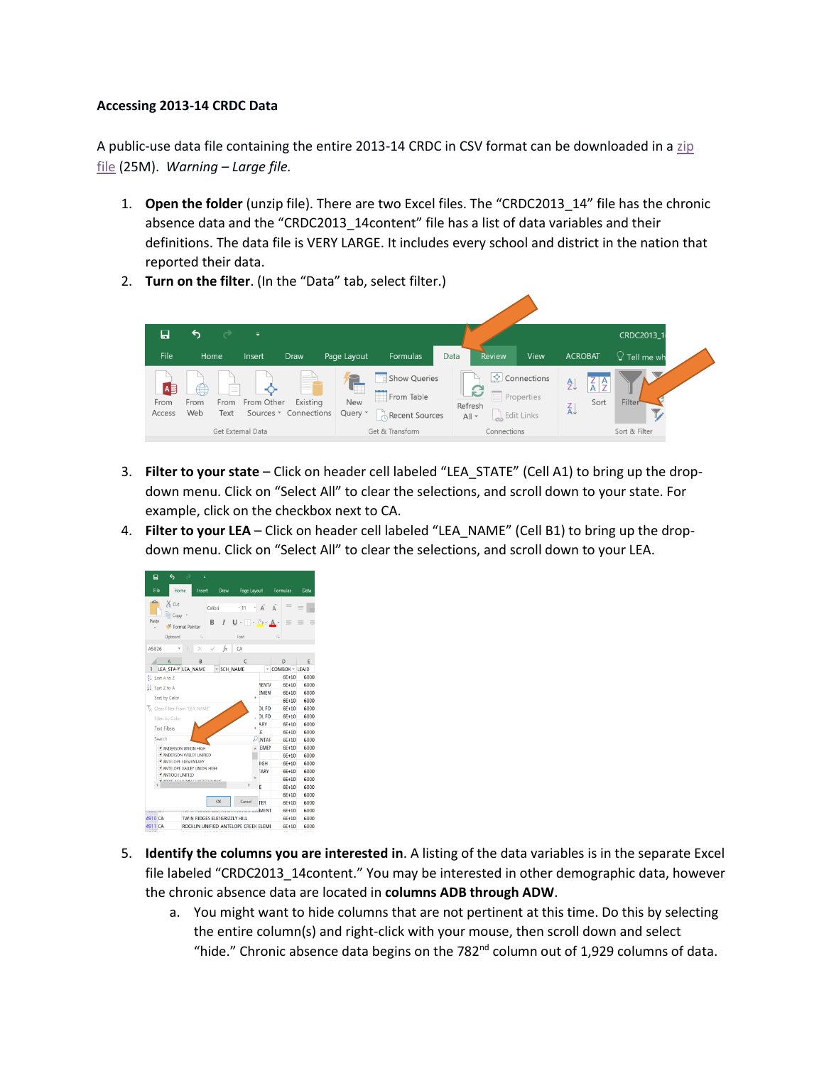## **Accessing 2013-14 CRDC Data**

A public-use data file containing the entire 2013-14 CRDC in CSV format can be downloaded in a zip [file](http://catalog.data.gov/download/crdc201314csv.zip) (25M). *Warning - Large file.* 

- 1. **Open the folder** (unzip file). There are two Excel files. The "CRDC2013\_14" file has the chronic absence data and the "CRDC2013\_14content" file has a list of data variables and their definitions. The data file is VERY LARGE. It includes every school and district in the nation that reported their data.
- 2. **Turn on the filter**. (In the "Data" tab, select filter.)



- 3. **Filter to your state** Click on header cell labeled "LEA\_STATE" (Cell A1) to bring up the dropdown menu. Click on "Select All" to clear the selections, and scroll down to your state. For example, click on the checkbox next to CA.
- 4. **Filter to your LEA** Click on header cell labeled "LEA\_NAME" (Cell B1) to bring up the dropdown menu. Click on "Select All" to clear the selections, and scroll down to your LEA.



- 5. **Identify the columns you are interested in**. A listing of the data variables is in the separate Excel file labeled "CRDC2013\_14content." You may be interested in other demographic data, however the chronic absence data are located in **columns ADB through ADW**.
	- a. You might want to hide columns that are not pertinent at this time. Do this by selecting the entire column(s) and right-click with your mouse, then scroll down and select "hide." Chronic absence data begins on the 782 $^{\text{nd}}$  column out of 1,929 columns of data.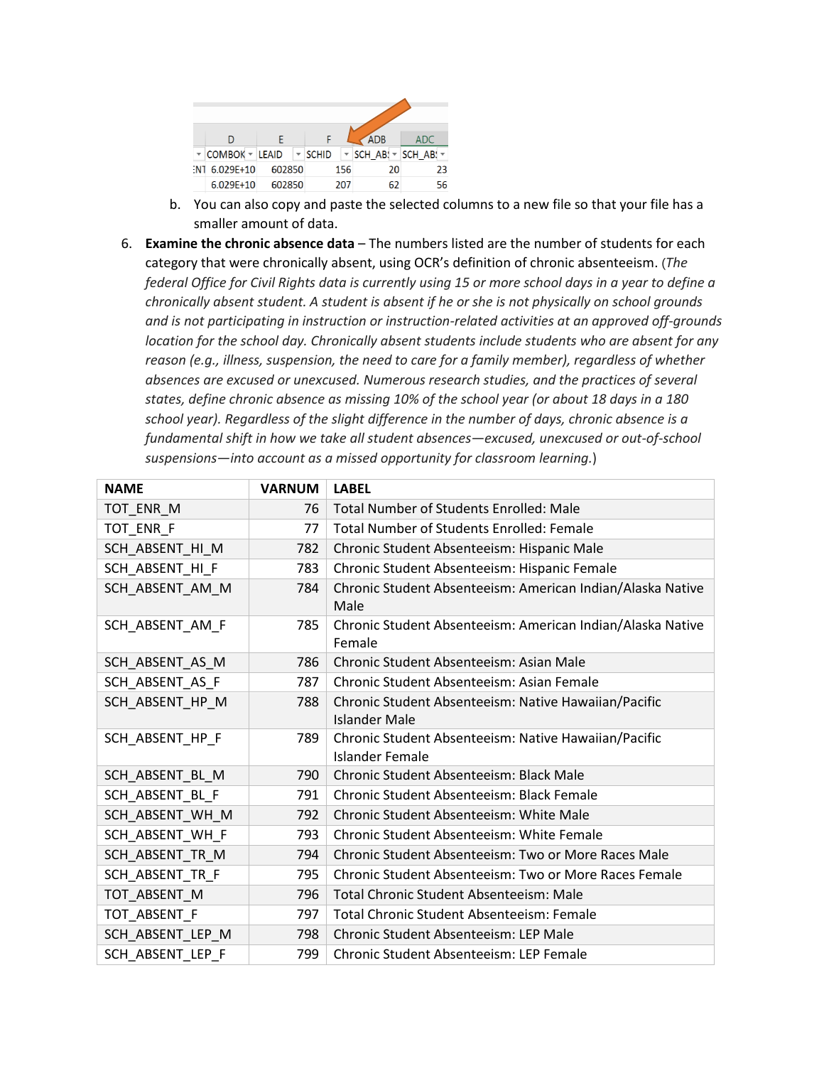|     | D              |                           |              | <b>ADB</b>                                      | ADC |
|-----|----------------|---------------------------|--------------|-------------------------------------------------|-----|
|     | COMBOK - LEAID | $\overline{\mathbf{v}}$ . | <b>SCHID</b> | $\triangledown$ SCH AB! $\triangledown$ SCH AB! |     |
| -N1 | $6.029E+10$    | 602850                    | 156          | 20                                              | 23  |
|     | $6.029E+10$    | 602850                    | 207          | 62                                              | 56  |

- b. You can also copy and paste the selected columns to a new file so that your file has a smaller amount of data.
- 6. **Examine the chronic absence data** The numbers listed are the number of students for each category that were chronically absent, using OCR's definition of chronic absenteeism. (*The federal Office for Civil Rights data is currently using 15 or more school days in a year to define a chronically absent student. A student is absent if he or she is not physically on school grounds and is not participating in instruction or instruction-related activities at an approved off-grounds location for the school day. Chronically absent students include students who are absent for any reason (e.g., illness, suspension, the need to care for a family member), regardless of whether absences are excused or unexcused. Numerous research studies, and the practices of several states, define chronic absence as missing 10% of the school year (or about 18 days in a 180 school year). Regardless of the slight difference in the number of days, chronic absence is a fundamental shift in how we take all student absences—excused, unexcused or out-of-school suspensions—into account as a missed opportunity for classroom learning.*)

| <b>NAME</b>      | <b>VARNUM</b> | <b>LABEL</b>                                                                 |
|------------------|---------------|------------------------------------------------------------------------------|
| TOT_ENR_M        | 76            | <b>Total Number of Students Enrolled: Male</b>                               |
| TOT_ENR_F        | 77            | <b>Total Number of Students Enrolled: Female</b>                             |
| SCH_ABSENT_HI_M  | 782           | Chronic Student Absenteeism: Hispanic Male                                   |
| SCH ABSENT HI F  | 783           | Chronic Student Absenteeism: Hispanic Female                                 |
| SCH_ABSENT_AM_M  | 784           | Chronic Student Absenteeism: American Indian/Alaska Native<br>Male           |
| SCH ABSENT AM F  | 785           | Chronic Student Absenteeism: American Indian/Alaska Native<br>Female         |
| SCH ABSENT AS M  | 786           | Chronic Student Absenteeism: Asian Male                                      |
| SCH_ABSENT_AS_F  | 787           | Chronic Student Absenteeism: Asian Female                                    |
| SCH_ABSENT_HP_M  | 788           | Chronic Student Absenteeism: Native Hawaiian/Pacific<br><b>Islander Male</b> |
| SCH_ABSENT_HP_F  | 789           | Chronic Student Absenteeism: Native Hawaiian/Pacific<br>Islander Female      |
| SCH_ABSENT_BL_M  | 790           | Chronic Student Absenteeism: Black Male                                      |
| SCH_ABSENT_BL_F  | 791           | Chronic Student Absenteeism: Black Female                                    |
| SCH_ABSENT_WH_M  | 792           | Chronic Student Absenteeism: White Male                                      |
| SCH_ABSENT_WH_F  | 793           | Chronic Student Absenteeism: White Female                                    |
| SCH_ABSENT_TR_M  | 794           | Chronic Student Absenteeism: Two or More Races Male                          |
| SCH_ABSENT_TR_F  | 795           | Chronic Student Absenteeism: Two or More Races Female                        |
| TOT ABSENT M     | 796           | <b>Total Chronic Student Absenteeism: Male</b>                               |
| TOT_ABSENT_F     | 797           | Total Chronic Student Absenteeism: Female                                    |
| SCH_ABSENT_LEP_M | 798           | Chronic Student Absenteeism: LEP Male                                        |
| SCH ABSENT LEP F | 799           | Chronic Student Absenteeism: LEP Female                                      |